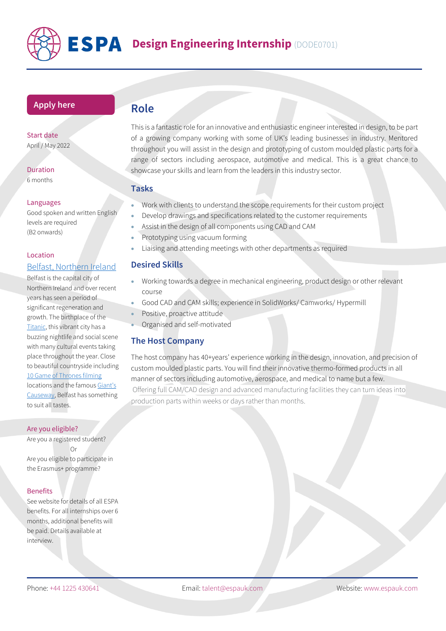

# **Design Engineering Internship** (DODE0701)

## **[Apply](https://www.espauk.com/students/student-application/) here**

#### Start date April / May 2022

Duration 6 months

#### Languages

Good spoken and written English levels are required (B2 onwards)

#### Location

# [Belfast, Northern Ireland](https://visitbelfast.com/)

Belfast is the capital city of Northern Ireland and over recent years has seen a period of significant regeneration and growth. The birthplace of the [Titanic,](https://titanicbelfast.com/) this vibrant city has a buzzing nightlife and social scene with many cultural events taking place throughout the year. Close to beautiful countryside including [10 Game of Thrones filming](https://visitbelfast.com/article/game-of-thrones-filming-locations-belfast-northern-ireland/) locations and the famous [Giant's](https://www.nationaltrust.org.uk/giants-causeway)  [Causeway,](https://www.nationaltrust.org.uk/giants-causeway) Belfast has something

to suit all tastes.

#### Are you eligible?

Are you a registered student? Or Are you eligible to participate in the Erasmus+ programme?

#### **Benefits**

See website for details of all ESPA benefits. For all internships over 6 months, additional benefits will be paid. Details available at interview.

# **Role**

This is a fantastic role for an innovative and enthusiastic engineer interested in design, to be part of a growing company working with some of UK's leading businesses in industry. Mentored throughout you will assist in the design and prototyping of custom moulded plastic parts for a range of sectors including aerospace, automotive and medical. This is a great chance to showcase your skills and learn from the leaders in this industry sector.

#### **Tasks**

- Work with clients to understand the scope requirements for their custom project
- Develop drawings and specifications related to the customer requirements
- Assist in the design of all components using CAD and CAM
- Prototyping using vacuum forming
- Liaising and attending meetings with other departments as required

## **Desired Skills**

- Working towards a degree in mechanical engineering, product design or other relevant course
- Good CAD and CAM skills; experience in SolidWorks/ Camworks/ Hypermill
- Positive, proactive attitude
- Organised and self-motivated

# **The Host Company**

The host company has 40+years' experience working in the design, innovation, and precision of custom moulded plastic parts. You will find their innovative thermo-formed products in all manner of sectors including automotive, aerospace, and medical to name but a few. Offering full CAM/CAD design and advanced manufacturing facilities they can turn ideas into production parts within weeks or days rather than months.